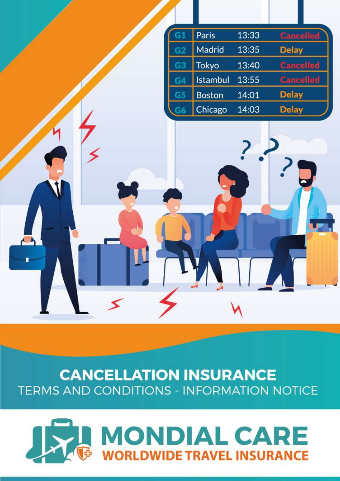

# **CANCELLATION INSURANCE TERMS AND CONDITIONS - INFORMATION NOTICE**

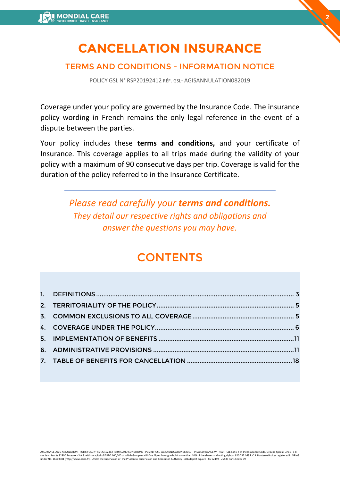# **CANCELLATION INSURANCE**

**2**

# TERMS AND CONDITIONS - INFORMATION NOTICE

POLICY GSL N° RSP20192412 RÉF. GSL- AGISANNULATION082019

Coverage under your policy are governed by the Insurance Code. The insurance policy wording in French remains the only legal reference in the event of a dispute between the parties.

Your policy includes these **terms and conditions,** and your certificate of Insurance. This coverage applies to all trips made during the validity of your policy with a maximum of 90 consecutive days per trip. Coverage is valid for the duration of the policy referred to in the Insurance Certificate.

> *Please read carefully your terms and conditions. They detail our respective rights and obligations and answer the questions you may have.*

# **CONTENTS**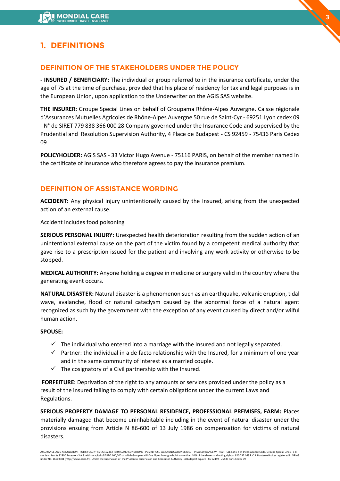# <span id="page-2-0"></span>**1. DEFINITIONS**

# **DEFINITION OF THE STAKEHOLDERS UNDER THE POLICY**

**- INSURED / BENEFICIARY:** The individual or group referred to in the insurance certificate, under the age of 75 at the time of purchase, provided that his place of residency for tax and legal purposes is in the European Union, upon application to the Underwriter on the AGIS SAS website.

**3**

**THE INSURER:** Groupe Special Lines on behalf of Groupama Rhône-Alpes Auvergne. Caisse régionale d'Assurances Mutuelles Agricoles de Rhône-Alpes Auvergne 50 rue de Saint-Cyr - 69251 Lyon cedex 09 - N° de SIRET 779 838 366 000 28 Company governed under the Insurance Code and supervised by the Prudential and Resolution Supervision Authority, 4 Place de Budapest - CS 92459 - 75436 Paris Cedex 09

**POLICYHOLDER:** AGIS SAS - 33 Victor Hugo Avenue - 75116 PARIS, on behalf of the member named in the certificate of Insurance who therefore agrees to pay the insurance premium.

# **DEFINITION OF ASSISTANCE WORDING**

**ACCIDENT:** Any physical injury unintentionally caused by the Insured, arising from the unexpected action of an external cause.

Accident includes food poisoning

**SERIOUS PERSONAL INJURY:** Unexpected health deterioration resulting from the sudden action of an unintentional external cause on the part of the victim found by a competent medical authority that gave rise to a prescription issued for the patient and involving any work activity or otherwise to be stopped.

**MEDICAL AUTHORITY:** Anyone holding a degree in medicine or surgery valid in the country where the generating event occurs.

**NATURAL DISASTER:** Natural disaster is a phenomenon such as an earthquake, volcanic eruption, tidal wave, avalanche, flood or natural cataclysm caused by the abnormal force of a natural agent recognized as such by the government with the exception of any event caused by direct and/or wilful human action.

### **SPOUSE:**

- $\checkmark$  The individual who entered into a marriage with the Insured and not legally separated.
- $\checkmark$  Partner: the individual in a de facto relationship with the Insured, for a minimum of one year and in the same community of interest as a married couple.
- $\checkmark$  The cosignatory of a Civil partnership with the Insured.

**FORFEITURE:** Deprivation of the right to any amounts or services provided under the policy as a result of the insured failing to comply with certain obligations under the current Laws and Regulations.

**SERIOUS PROPERTY DAMAGE TO PERSONAL RESIDENCE, PROFESSIONAL PREMISES, FARM:** Places materially damaged that become uninhabitable including in the event of natural disaster under the provisions ensuing from Article N 86-600 of 13 July 1986 on compensation for victims of natural disasters.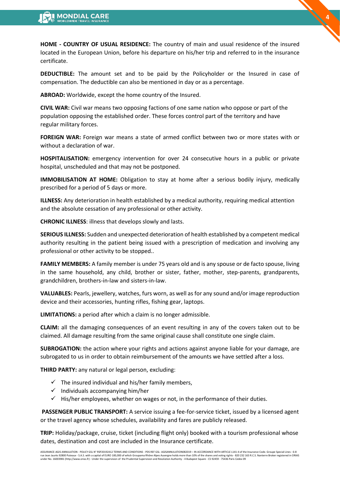**HOME - COUNTRY OF USUAL RESIDENCE:** The country of main and usual residence of the insured located in the European Union, before his departure on his/her trip and referred to in the insurance certificate.

**4**

**DEDUCTIBLE:** The amount set and to be paid by the Policyholder or the Insured in case of compensation. The deductible can also be mentioned in day or as a percentage.

**ABROAD:** Worldwide, except the home country of the Insured.

**CIVIL WAR:** Civil war means two opposing factions of one same nation who oppose or part of the population opposing the established order. These forces control part of the territory and have regular military forces.

**FOREIGN WAR:** Foreign war means a state of armed conflict between two or more states with or without a declaration of war.

**HOSPITALISATION:** emergency intervention for over 24 consecutive hours in a public or private hospital, unscheduled and that may not be postponed.

**IMMOBILISATION AT HOME:** Obligation to stay at home after a serious bodily injury, medically prescribed for a period of 5 days or more.

**ILLNESS:** Any deterioration in health established by a medical authority, requiring medical attention and the absolute cessation of any professional or other activity.

**CHRONIC ILLNESS**: illness that develops slowly and lasts.

**SERIOUS ILLNESS:** Sudden and unexpected deterioration of health established by a competent medical authority resulting in the patient being issued with a prescription of medication and involving any professional or other activity to be stopped..

**FAMILY MEMBERS:** A family member is under 75 years old and is any spouse or de facto spouse, living in the same household, any child, brother or sister, father, mother, step-parents, grandparents, grandchildren, brothers-in-law and sisters-in-law.

**VALUABLES:** Pearls, jewellery, watches, furs worn, as well as for any sound and/or image reproduction device and their accessories, hunting rifles, fishing gear, laptops.

**LIMITATIONS:** a period after which a claim is no longer admissible.

**CLAIM:** all the damaging consequences of an event resulting in any of the covers taken out to be claimed. All damage resulting from the same original cause shall constitute one single claim.

**SUBROGATION:** the action where your rights and actions against anyone liable for your damage, are subrogated to us in order to obtain reimbursement of the amounts we have settled after a loss.

**THIRD PARTY:** any natural or legal person, excluding:

- $\checkmark$  The insured individual and his/her family members,
- ✓ Individuals accompanying him/her
- $\checkmark$  His/her employees, whether on wages or not, in the performance of their duties.

**PASSENGER PUBLIC TRANSPORT:** A service issuing a fee-for-service ticket, issued by a licensed agent or the travel agency whose schedules, availability and fares are publicly released.

**TRIP:** Holiday/package, cruise, ticket (including flight only) booked with a tourism professional whose dates, destination and cost are included in the Insurance certificate.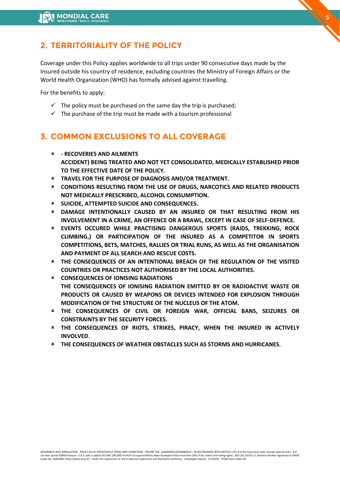# <span id="page-4-0"></span>**2. TERRITORIALITY OF THE POLICY**

Coverage under this Policy applies worldwide to all trips under 90 consecutive days made by the Insured outside his country of residence, excluding countries the Ministry of Foreign Affairs or the World Health Organization (WHO) has formally advised against travelling.

**5**

For the benefits to apply:

- $\checkmark$  The policy must be purchased on the same day the trip is purchased;
- $\checkmark$  The purchase of the trip must be made with a tourism professional

# <span id="page-4-1"></span>**3. COMMON EXCLUSIONS TO ALL COVERAGE**

- **- RECOVERIES AND AILMENTS ACCIDENT) BEING TREATED AND NOT YET CONSOLIDATED, MEDICALLY ESTABLISHED PRIOR TO THE EFFECTIVE DATE OF THE POLICY.**
- **TRAVEL FOR THE PURPOSE OF DIAGNOSIS AND/OR TREATMENT.**
- **CONDITIONS RESULTING FROM THE USE OF DRUGS, NARCOTICS AND RELATED PRODUCTS NOT MEDICALLY PRESCRIBED, ALCOHOL CONSUMPTION.**
- **SUICIDE, ATTEMPTED SUICIDE AND CONSEQUENCES.**
- **DAMAGE INTENTIONALLY CAUSED BY AN INSURED OR THAT RESULTING FROM HIS INVOLVEMENT IN A CRIME, AN OFFENCE OR A BRAWL, EXCEPT IN CASE OF SELF-DEFENCE.**
- **EVENTS OCCURED WHILE PRACTISING DANGEROUS SPORTS (RAIDS, TREKKING, ROCK CLIMBING,) OR PARTICIPATION OF THE INSURED AS A COMPETITOR IN SPORTS COMPETITIONS, BETS, MATCHES, RALLIES OR TRIAL RUNS, AS WELL AS THE ORGANISATION AND PAYMENT OF ALL SEARCH AND RESCUE COSTS.**
- **THE CONSEQUENCES OF AN INTENTIONAL BREACH OF THE REGULATION OF THE VISITED COUNTRIES OR PRACTICES NOT AUTHORISED BY THE LOCAL AUTHORITIES.**
- **CONSEQUENCES OF IONISING RADIATIONS THE CONSEQUENCES OF IONISING RADIATION EMITTED BY OR RADIOACTIVE WASTE OR PRODUCTS OR CAUSED BY WEAPONS OR DEVICES INTENDED FOR EXPLOSION THROUGH MODIFICATION OF THE STRUCTURE OF THE NUCLEUS OF THE ATOM.**
- **THE CONSEQUENCES OF CIVIL OR FOREIGN WAR, OFFICIAL BANS, SEIZURES OR CONSTRAINTS BY THE SECURITY FORCES.**
- **THE CONSEQUENCES OF RIOTS, STRIKES, PIRACY, WHEN THE INSURED IN ACTIVELY INVOLVED**.
- **THE CONSEQUENCES OF WEATHER OBSTACLES SUCH AS STORMS AND HURRICANES.**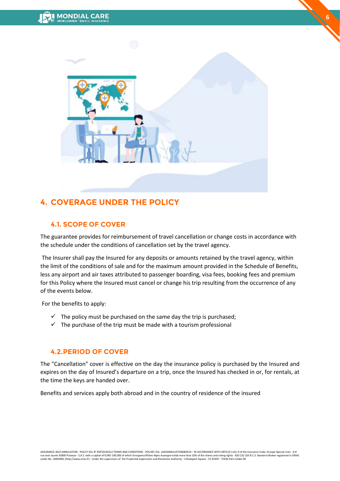

**6**

# <span id="page-5-0"></span>**4. COVERAGE UNDER THE POLICY**

# **4.1. SCOPE OF COVER**

The guarantee provides for reimbursement of travel cancellation or change costs in accordance with the schedule under the conditions of cancellation set by the travel agency.

The Insurer shall pay the Insured for any deposits or amounts retained by the travel agency, within the limit of the conditions of sale and for the maximum amount provided in the Schedule of Benefits, less any airport and air taxes attributed to passenger boarding, visa fees, booking fees and premium for this Policy where the Insured must cancel or change his trip resulting from the occurrence of any of the events below.

For the benefits to apply:

- $\checkmark$  The policy must be purchased on the same day the trip is purchased;
- $\checkmark$  The purchase of the trip must be made with a tourism professional

# **4.2.PERIOD OF COVER**

The "Cancellation" cover is effective on the day the insurance policy is purchased by the Insured and expires on the day of Insured's departure on a trip, once the Insured has checked in or, for rentals, at the time the keys are handed over.

Benefits and services apply both abroad and in the country of residence of the insured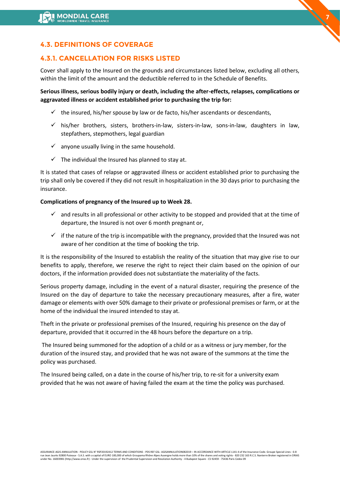# **4.3. DEFINITIONS OF COVERAGE**

# **4.3.1. CANCELLATION FOR RISKS LISTED**

Cover shall apply to the Insured on the grounds and circumstances listed below, excluding all others, within the limit of the amount and the deductible referred to in the Schedule of Benefits.

**7**

**Serious illness, serious bodily injury or death, including the after-effects, relapses, complications or aggravated illness or accident established prior to purchasing the trip for:** 

- $\checkmark$  the insured, his/her spouse by law or de facto, his/her ascendants or descendants,
- $\checkmark$  his/her brothers, sisters, brothers-in-law, sisters-in-law, sons-in-law, daughters in law, stepfathers, stepmothers, legal guardian
- $\checkmark$  anyone usually living in the same household.
- $\checkmark$  The individual the Insured has planned to stay at.

It is stated that cases of relapse or aggravated illness or accident established prior to purchasing the trip shall only be covered if they did not result in hospitalization in the 30 days prior to purchasing the insurance.

## **Complications of pregnancy of the Insured up to Week 28.**

- $\checkmark$  and results in all professional or other activity to be stopped and provided that at the time of departure, the Insured is not over 6 month pregnant or,
- $\checkmark$  if the nature of the trip is incompatible with the pregnancy, provided that the Insured was not aware of her condition at the time of booking the trip.

It is the responsibility of the Insured to establish the reality of the situation that may give rise to our benefits to apply, therefore, we reserve the right to reject their claim based on the opinion of our doctors, if the information provided does not substantiate the materiality of the facts.

Serious property damage, including in the event of a natural disaster, requiring the presence of the Insured on the day of departure to take the necessary precautionary measures, after a fire, water damage or elements with over 50% damage to their private or professional premises or farm, or at the home of the individual the insured intended to stay at.

Theft in the private or professional premises of the Insured, requiring his presence on the day of departure, provided that it occurred in the 48 hours before the departure on a trip.

The Insured being summoned for the adoption of a child or as a witness or jury member, for the duration of the insured stay, and provided that he was not aware of the summons at the time the policy was purchased.

The Insured being called, on a date in the course of his/her trip, to re-sit for a university exam provided that he was not aware of having failed the exam at the time the policy was purchased.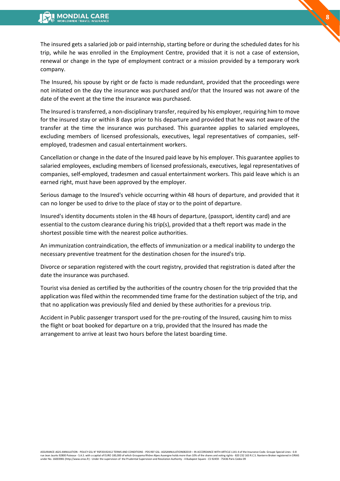The insured gets a salaried job or paid internship, starting before or during the scheduled dates for his trip, while he was enrolled in the Employment Centre, provided that it is not a case of extension, renewal or change in the type of employment contract or a mission provided by a temporary work company.

**8**

The Insured, his spouse by right or de facto is made redundant, provided that the proceedings were not initiated on the day the insurance was purchased and/or that the Insured was not aware of the date of the event at the time the insurance was purchased.

The Insured is transferred, a non-disciplinary transfer, required by his employer, requiring him to move for the insured stay or within 8 days prior to his departure and provided that he was not aware of the transfer at the time the insurance was purchased. This guarantee applies to salaried employees, excluding members of licensed professionals, executives, legal representatives of companies, selfemployed, tradesmen and casual entertainment workers.

Cancellation or change in the date of the Insured paid leave by his employer. This guarantee applies to salaried employees, excluding members of licensed professionals, executives, legal representatives of companies, self-employed, tradesmen and casual entertainment workers. This paid leave which is an earned right, must have been approved by the employer.

Serious damage to the Insured's vehicle occurring within 48 hours of departure, and provided that it can no longer be used to drive to the place of stay or to the point of departure.

Insured's identity documents stolen in the 48 hours of departure, (passport, identity card) and are essential to the custom clearance during his trip(s), provided that a theft report was made in the shortest possible time with the nearest police authorities.

An immunization contraindication, the effects of immunization or a medical inability to undergo the necessary preventive treatment for the destination chosen for the insured's trip.

Divorce or separation registered with the court registry, provided that registration is dated after the date the insurance was purchased.

Tourist visa denied as certified by the authorities of the country chosen for the trip provided that the application was filed within the recommended time frame for the destination subject of the trip, and that no application was previously filed and denied by these authorities for a previous trip.

Accident in Public passenger transport used for the pre-routing of the Insured, causing him to miss the flight or boat booked for departure on a trip, provided that the Insured has made the arrangement to arrive at least two hours before the latest boarding time.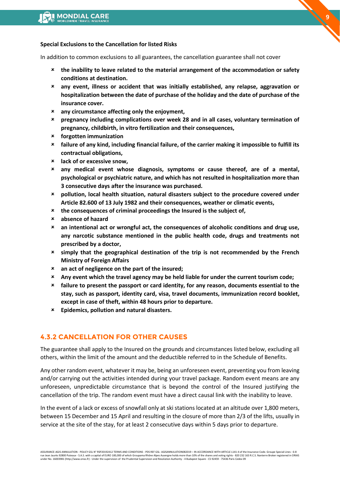#### **Special Exclusions to the Cancellation for listed Risks**

In addition to common exclusions to all guarantees, the cancellation guarantee shall not cover

- **the inability to leave related to the material arrangement of the accommodation or safety conditions at destination.**
- **any event, illness or accident that was initially established, any relapse, aggravation or hospitalization between the date of purchase of the holiday and the date of purchase of the insurance cover.**
- **any circumstance affecting only the enjoyment,**
- **pregnancy including complications over week 28 and in all cases, voluntary termination of pregnancy, childbirth, in vitro fertilization and their consequences,**
- **forgotten immunization**
- **failure of any kind, including financial failure, of the carrier making it impossible to fulfill its contractual obligations,**
- **lack of or excessive snow,**
- **any medical event whose diagnosis, symptoms or cause thereof, are of a mental, psychological or psychiatric nature, and which has not resulted in hospitalization more than 3 consecutive days after the insurance was purchased.**
- **pollution, local health situation, natural disasters subject to the procedure covered under Article 82.600 of 13 July 1982 and their consequences, weather or climatic events,**
- **the consequences of criminal proceedings the Insured is the subject of,**
- **absence of hazard**
- **an intentional act or wrongful act, the consequences of alcoholic conditions and drug use, any narcotic substance mentioned in the public health code, drugs and treatments not prescribed by a doctor,**
- **simply that the geographical destination of the trip is not recommended by the French Ministry of Foreign Affairs**
- **an act of negligence on the part of the insured;**
- **Any event which the travel agency may be held liable for under the current tourism code;**
- **failure to present the passport or card identity, for any reason, documents essential to the stay, such as passport, identity card, visa, travel documents, immunization record booklet, except in case of theft, within 48 hours prior to departure.**
- **Epidemics, pollution and natural disasters.**

## **4.3.2 CANCELLATION FOR OTHER CAUSES**

The guarantee shall apply to the Insured on the grounds and circumstances listed below, excluding all others, within the limit of the amount and the deductible referred to in the Schedule of Benefits.

Any other random event, whatever it may be, being an unforeseen event, preventing you from leaving and/or carrying out the activities intended during your travel package. Random event means are any unforeseen, unpredictable circumstance that is beyond the control of the Insured justifying the cancellation of the trip. The random event must have a direct causal link with the inability to leave.

In the event of a lack or excess of snowfall only at ski stations located at an altitude over 1,800 meters, between 15 December and 15 April and resulting in the closure of more than 2/3 of the lifts, usually in service at the site of the stay, for at least 2 consecutive days within 5 days prior to departure.

ASSURANCE-AGIS-ANNULATION - POLICY GSL N° RSP20192412 TERMS AND CONDITIONS - PDS REF GSL- AGISANNULATION082019 – IN ACCORDANCE WITH ARTICLE L141-4 of the Insurance Code. Groupe Special Lines - 6-8<br>rue lean Jaurès 92800 Put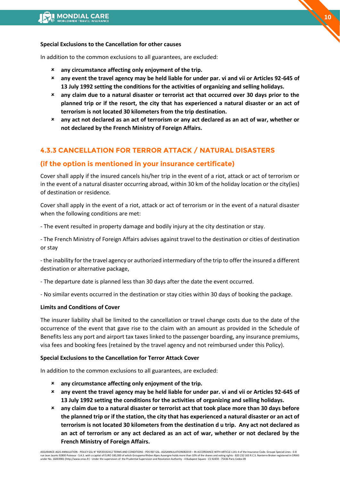#### **Special Exclusions to the Cancellation for other causes**

In addition to the common exclusions to all guarantees, are excluded:

- **any circumstance affecting only enjoyment of the trip.**
- **any event the travel agency may be held liable for under par. vi and vii or Articles 92-645 of 13 July 1992 setting the conditions for the activities of organizing and selling holidays.**
- **any claim due to a natural disaster or terrorist act that occurred over 30 days prior to the planned trip or if the resort, the city that has experienced a natural disaster or an act of terrorism is not located 30 kilometers from the trip destination.**
- **any act not declared as an act of terrorism or any act declared as an act of war, whether or not declared by the French Ministry of Foreign Affairs.**

# **4.3.3 CANCELLATION FOR TERROR ATTACK / NATURAL DISASTERS**

## **(if the option is mentioned in your insurance certificate)**

Cover shall apply if the insured cancels his/her trip in the event of a riot, attack or act of terrorism or in the event of a natural disaster occurring abroad, within 30 km of the holiday location or the city(ies) of destination or residence.

Cover shall apply in the event of a riot, attack or act of terrorism or in the event of a natural disaster when the following conditions are met:

- The event resulted in property damage and bodily injury at the city destination or stay.

- The French Ministry of Foreign Affairs advises against travel to the destination or cities of destination or stay

- the inability for the travel agency or authorized intermediary of the trip to offer the insured a different destination or alternative package,

- The departure date is planned less than 30 days after the date the event occurred.

- No similar events occurred in the destination or stay cities within 30 days of booking the package.

#### **Limits and Conditions of Cover**

The insurer liability shall be limited to the cancellation or travel change costs due to the date of the occurrence of the event that gave rise to the claim with an amount as provided in the Schedule of Benefits less any port and airport tax taxes linked to the passenger boarding, any insurance premiums, visa fees and booking fees (retained by the travel agency and not reimbursed under this Policy).

### **Special Exclusions to the Cancellation for Terror Attack Cover**

In addition to the common exclusions to all guarantees, are excluded:

- **any circumstance affecting only enjoyment of the trip.**
- **any event the travel agency may be held liable for under par. vi and vii or Articles 92-645 of 13 July 1992 setting the conditions for the activities of organizing and selling holidays.**
- **any claim due to a natural disaster or terrorist act that took place more than 30 days before the planned trip or if the station, the city that has experienced a natural disaster or an act of terrorism is not located 30 kilometers from the destination d u trip. Any act not declared as an act of terrorism or any act declared as an act of war, whether or not declared by the French Ministry of Foreign Affairs.**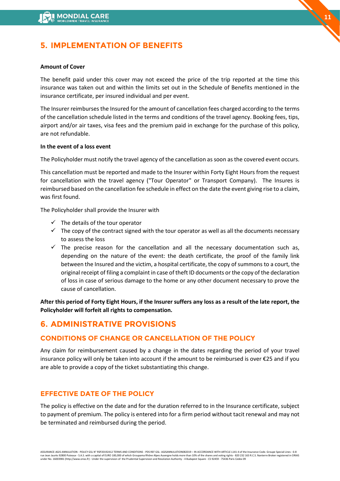# <span id="page-10-0"></span>**5. IMPLEMENTATION OF BENEFITS**

#### **Amount of Cover**

The benefit paid under this cover may not exceed the price of the trip reported at the time this insurance was taken out and within the limits set out in the Schedule of Benefits mentioned in the insurance certificate, per insured individual and per event.

The Insurer reimburses the Insured for the amount of cancellation fees charged according to the terms of the cancellation schedule listed in the terms and conditions of the travel agency. Booking fees, tips, airport and/or air taxes, visa fees and the premium paid in exchange for the purchase of this policy, are not refundable.

### **In the event of a loss event**

The Policyholder must notify the travel agency of the cancellation as soon as the covered event occurs.

This cancellation must be reported and made to the Insurer within Forty Eight Hours from the request for cancellation with the travel agency ("Tour Operator" or Transport Company). The Insures is reimbursed based on the cancellation fee schedule in effect on the date the event giving rise to a claim, was first found.

The Policyholder shall provide the Insurer with

- $\checkmark$  The details of the tour operator
- $\checkmark$  The copy of the contract signed with the tour operator as well as all the documents necessary to assess the loss
- $\checkmark$  The precise reason for the cancellation and all the necessary documentation such as, depending on the nature of the event: the death certificate, the proof of the family link between the Insured and the victim, a hospital certificate, the copy of summons to a court, the original receipt of filing a complaint in case of theft ID documents or the copy of the declaration of loss in case of serious damage to the home or any other document necessary to prove the cause of cancellation.

**After this period of Forty Eight Hours, if the Insurer suffers any loss as a result of the late report, the Policyholder will forfeit all rights to compensation.**

# <span id="page-10-1"></span>**6. ADMINISTRATIVE PROVISIONS**

## **CONDITIONS OF CHANGE OR CANCELLATION OF THE POLICY**

Any claim for reimbursement caused by a change in the dates regarding the period of your travel insurance policy will only be taken into account if the amount to be reimbursed is over €25 and if you are able to provide a copy of the ticket substantiating this change.

## **EFFECTIVE DATE OF THE POLICY**

The policy is effective on the date and for the duration referred to in the Insurance certificate, subject to payment of premium. The policy is entered into for a firm period without tacit renewal and may not be terminated and reimbursed during the period.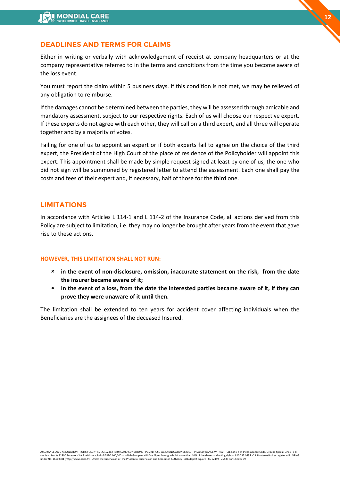## **DEADLINES AND TERMS FOR CLAIMS**

Either in writing or verbally with acknowledgement of receipt at company headquarters or at the company representative referred to in the terms and conditions from the time you become aware of the loss event.

You must report the claim within 5 business days. If this condition is not met, we may be relieved of any obligation to reimburse.

If the damages cannot be determined between the parties, they will be assessed through amicable and mandatory assessment, subject to our respective rights. Each of us will choose our respective expert. If these experts do not agree with each other, they will call on a third expert, and all three will operate together and by a majority of votes.

Failing for one of us to appoint an expert or if both experts fail to agree on the choice of the third expert, the President of the High Court of the place of residence of the Policyholder will appoint this expert. This appointment shall be made by simple request signed at least by one of us, the one who did not sign will be summoned by registered letter to attend the assessment. Each one shall pay the costs and fees of their expert and, if necessary, half of those for the third one.

## **LIMITATIONS**

In accordance with Articles L 114-1 and L 114-2 of the Insurance Code, all actions derived from this Policy are subject to limitation, i.e. they may no longer be brought after years from the event that gave rise to these actions.

#### **HOWEVER, THIS LIMITATION SHALL NOT RUN:**

- **in the event of non-disclosure, omission, inaccurate statement on the risk, from the date the insurer became aware of it;**
- **In the event of a loss, from the date the interested parties became aware of it, if they can prove they were unaware of it until then.**

The limitation shall be extended to ten years for accident cover affecting individuals when the Beneficiaries are the assignees of the deceased Insured.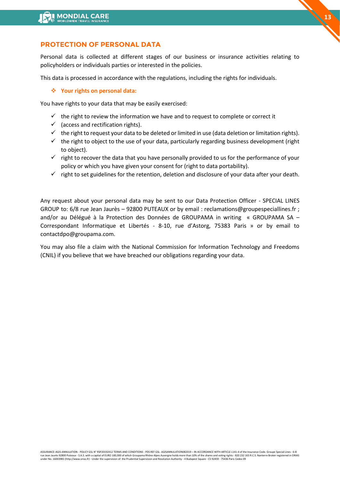## **PROTECTION OF PERSONAL DATA**

Personal data is collected at different stages of our business or insurance activities relating to policyholders or individuals parties or interested in the policies.

**13**

This data is processed in accordance with the regulations, including the rights for individuals.

#### ❖ **Your rights on personal data:**

You have rights to your data that may be easily exercised:

- $\checkmark$  the right to review the information we have and to request to complete or correct it
- $\checkmark$  (access and rectification rights).
- $\checkmark$  the right to request your data to be deleted or limited in use (data deletion or limitation rights).
- $\checkmark$  the right to object to the use of your data, particularly regarding business development (right to object).
- $\checkmark$  right to recover the data that you have personally provided to us for the performance of your policy or which you have given your consent for (right to data portability).
- $\checkmark$  right to set guidelines for the retention, deletion and disclosure of your data after your death.

Any request about your personal data may be sent to our Data Protection Officer - SPECIAL LINES GROUP to: 6/8 rue Jean Jaurès – 92800 PUTEAUX or by email : reclamations@groupespeciallines.fr ; and/or au Délégué à la Protection des Données de GROUPAMA in writing « GROUPAMA SA – Correspondant Informatique et Libertés - 8-10, rue d'Astorg, 75383 Paris » or by email to contactdpo@groupama.com.

You may also file a claim with the National Commission for Information Technology and Freedoms (CNIL) if you believe that we have breached our obligations regarding your data.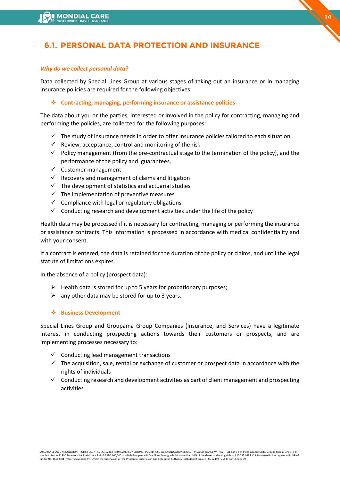# **6.1. PERSONAL DATA PROTECTION AND INSURANCE**

#### *Why do we collect personal data?*

Data collected by Special Lines Group at various stages of taking out an insurance or in managing insurance policies are required for the following objectives:

### ❖ **Contracting, managing, performing insurance or assistance policies**

The data about you or the parties, interested or involved in the policy for contracting, managing and performing the policies, are collected for the following purposes:

- $\checkmark$  The study of insurance needs in order to offer insurance policies tailored to each situation
- $\checkmark$  Review, acceptance, control and monitoring of the risk
- ✓ Policy management (from the pre-contractual stage to the termination of the policy), and the performance of the policy and guarantees,
- ✓ Customer management
- $\checkmark$  Recovery and management of claims and litigation
- $\checkmark$  The development of statistics and actuarial studies
- $\checkmark$  The implementation of preventive measures
- $\checkmark$  Compliance with legal or regulatory obligations
- $\checkmark$  Conducting research and development activities under the life of the policy

Health data may be processed if it is necessary for contracting, managing or performing the insurance or assistance contracts. This information is processed in accordance with medical confidentiality and with your consent.

If a contract is entered, the data is retained for the duration of the policy or claims, and until the legal statute of limitations expires.

In the absence of a policy (prospect data):

- $\triangleright$  Health data is stored for up to 5 years for probationary purposes;
- $\triangleright$  any other data may be stored for up to 3 years.

### ❖ **Business Development**

Special Lines Group and Groupama Group Companies (Insurance, and Services) have a legitimate interest in conducting prospecting actions towards their customers or prospects, and are implementing processes necessary to:

- $\checkmark$  Conducting lead management transactions
- $\checkmark$  The acquisition, sale, rental or exchange of customer or prospect data in accordance with the rights of individuals
- $\checkmark$  Conducting research and development activities as part of client management and prospecting activities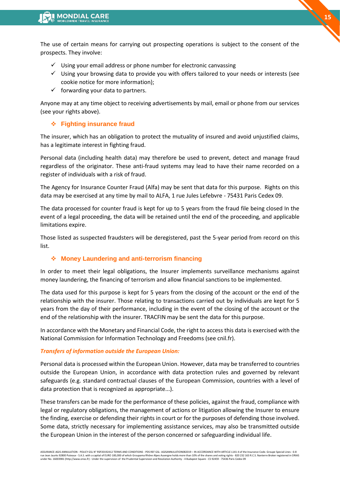The use of certain means for carrying out prospecting operations is subject to the consent of the prospects. They involve:

- $\checkmark$  Using your email address or phone number for electronic canvassing
- $\checkmark$  Using your browsing data to provide you with offers tailored to your needs or interests (see cookie notice for more information);
- $\checkmark$  forwarding your data to partners.

Anyone may at any time object to receiving advertisements by mail, email or phone from our services (see your rights above).

## ❖ **Fighting insurance fraud**

The insurer, which has an obligation to protect the mutuality of insured and avoid unjustified claims, has a legitimate interest in fighting fraud.

Personal data (including health data) may therefore be used to prevent, detect and manage fraud regardless of the originator. These anti-fraud systems may lead to have their name recorded on a register of individuals with a risk of fraud.

The Agency for Insurance Counter Fraud (Alfa) may be sent that data for this purpose. Rights on this data may be exercised at any time by mail to ALFA, 1 rue Jules Lefebvre - 75431 Paris Cedex 09.

The data processed for counter fraud is kept for up to 5 years from the fraud file being closed In the event of a legal proceeding, the data will be retained until the end of the proceeding, and applicable limitations expire.

Those listed as suspected fraudsters will be deregistered, past the 5-year period from record on this list.

## ❖ **Money Laundering and anti-terrorism financing**

In order to meet their legal obligations, the Insurer implements surveillance mechanisms against money laundering, the financing of terrorism and allow financial sanctions to be implemented.

The data used for this purpose is kept for 5 years from the closing of the account or the end of the relationship with the insurer. Those relating to transactions carried out by individuals are kept for 5 years from the day of their performance, including in the event of the closing of the account or the end of the relationship with the insurer. TRACFIN may be sent the data for this purpose.

In accordance with the Monetary and Financial Code, the right to access this data is exercised with the National Commission for Information Technology and Freedoms (see cnil.fr).

### *Transfers of information outside the European Union:*

Personal data is processed within the European Union. However, data may be transferred to countries outside the European Union, in accordance with data protection rules and governed by relevant safeguards (e.g. standard contractual clauses of the European Commission, countries with a level of data protection that is recognized as appropriate...).

These transfers can be made for the performance of these policies, against the fraud, compliance with legal or regulatory obligations, the management of actions or litigation allowing the Insurer to ensure the finding, exercise or defending their rights in court or for the purposes of defending those involved. Some data, strictly necessary for implementing assistance services, may also be transmitted outside the European Union in the interest of the person concerned or safeguarding individual life.

ASSURANCE-AGIS-ANNULATION - POLICY GSL N° RSP20192412 TERMS AND CONDITIONS - PDS REF GSL- AGISANNULATION082019 – IN ACCORDANCE WITH ARTICLE L141-4 of the Insurance Code. Groupe Special Lines - 6-8<br>rue lean Jaurès 92800 Put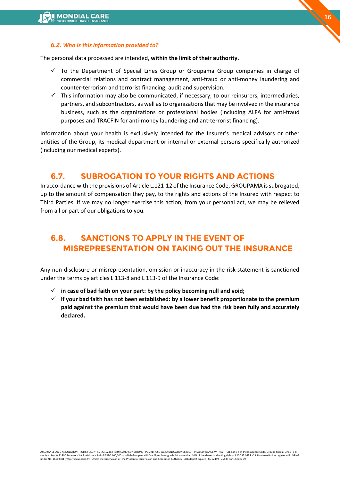

#### *6.2. Who is this information provided to?*

The personal data processed are intended, **within the limit of their authority.**

- $\checkmark$  To the Department of Special Lines Group or Groupama Group companies in charge of commercial relations and contract management, anti-fraud or anti-money laundering and counter-terrorism and terrorist financing, audit and supervision.
- $\checkmark$  This information may also be communicated, if necessary, to our reinsurers, intermediaries, partners, and subcontractors, as well as to organizations that may be involved in the insurance business, such as the organizations or professional bodies (including ALFA for anti-fraud purposes and TRACFIN for anti-money laundering and ant-terrorist financing).

Information about your health is exclusively intended for the Insurer's medical advisors or other entities of the Group, its medical department or internal or external persons specifically authorized (including our medical experts).

# **6.7. SUBROGATION TO YOUR RIGHTS AND ACTIONS**

In accordance with the provisions of Article L.121-12 of the Insurance Code, GROUPAMA is subrogated, up to the amount of compensation they pay, to the rights and actions of the Insured with respect to Third Parties. If we may no longer exercise this action, from your personal act, we may be relieved from all or part of our obligations to you.

# **6.8. SANCTIONS TO APPLY IN THE EVENT OF MISREPRESENTATION ON TAKING OUT THE INSURANCE**

Any non-disclosure or misrepresentation, omission or inaccuracy in the risk statement is sanctioned under the terms by articles L 113-8 and L 113-9 of the Insurance Code:

- ✓ **in case of bad faith on your part: by the policy becoming null and void;**
- ✓ **if your bad faith has not been established: by a lower benefit proportionate to the premium paid against the premium that would have been due had the risk been fully and accurately declared.**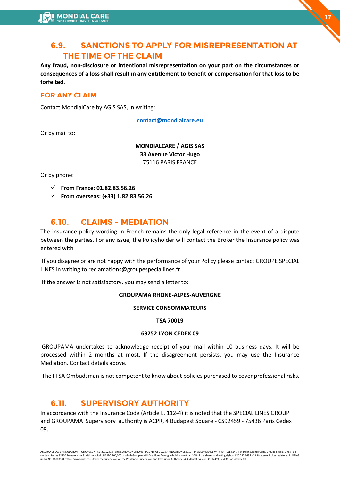# **6.9. SANCTIONS TO APPLY FOR MISREPRESENTATION AT THE TIME OF THE CLAIM**

**Any fraud, non-disclosure or intentional misrepresentation on your part on the circumstances or consequences of a loss shall result in any entitlement to benefit or compensation for that loss to be forfeited.**

# **FOR ANY CLAIM**

Contact MondialCare by AGIS SAS, in writing:

**[contact@mondialcare.eu](mailto:contact@mondialcare.eu)**

Or by mail to:

**MONDIALCARE / AGIS SAS 33 Avenue Victor Hugo**  75116 PARIS FRANCE

Or by phone:

- ✓ **From France: 01.82.83.56.26**
- ✓ **From overseas: (+33) 1.82.83.56.26**

# **6.10. CLAIMS - MEDIATION**

The insurance policy wording in French remains the only legal reference in the event of a dispute between the parties. For any issue, the Policyholder will contact the Broker the Insurance policy was entered with

If you disagree or are not happy with the performance of your Policy please contact GROUPE SPECIAL LINES in writing to reclamations@groupespeciallines.fr.

If the answer is not satisfactory, you may send a letter to:

#### **GROUPAMA RHONE-ALPES-AUVERGNE**

#### **SERVICE CONSOMMATEURS**

#### **TSA 70019**

#### **69252 LYON CEDEX 09**

GROUPAMA undertakes to acknowledge receipt of your mail within 10 business days. It will be processed within 2 months at most. If the disagreement persists, you may use the Insurance Mediation. Contact details above.

The FFSA Ombudsman is not competent to know about policies purchased to cover professional risks.

# **6.11. SUPERVISORY AUTHORITY**

In accordance with the Insurance Code (Article L. 112-4) it is noted that the SPECIAL LINES GROUP and GROUPAMA Supervisory authority is ACPR, 4 Budapest Square - CS92459 - 75436 Paris Cedex 09.

**17**